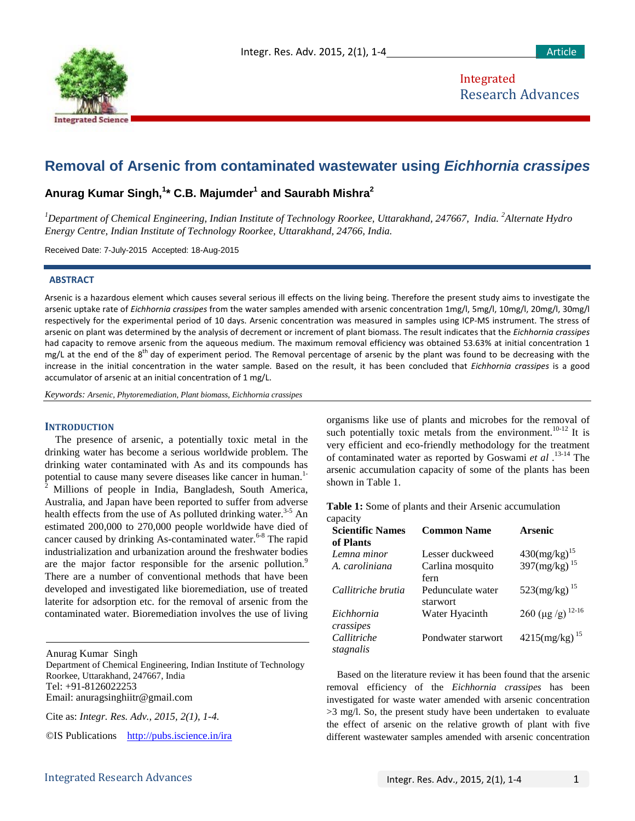

Integrated Research Advances

# **Removal of Arsenic from contaminated wastewater using** *Eichhornia crassipes*

# **Anurag Kumar Singh, 1 \* C.B. Majumder<sup>1</sup> and Saurabh Mishra2**

*1 Department of Chemical Engineering, Indian Institute of Technology Roorkee, Uttarakhand, 247667, India. <sup>2</sup> Alternate Hydro Energy Centre, Indian Institute of Technology Roorkee, Uttarakhand, 24766, India.*

Received Date: 7-July-2015 Accepted: 18-Aug-2015

#### **ABSTRACT**

Arsenic is a hazardous element which causes several serious ill effects on the living being. Therefore the present study aims to investigate the arsenic uptake rate of *Eichhornia crassipes* from the water samples amended with arsenic concentration 1mg/l, 5mg/l, 10mg/l, 20mg/l, 30mg/l respectively for the experimental period of 10 days. Arsenic concentration was measured in samples using ICP-MS instrument. The stress of arsenic on plant was determined by the analysis of decrement or increment of plant biomass. The result indicates that the *Eichhornia crassipes* had capacity to remove arsenic from the aqueous medium. The maximum removal efficiency was obtained 53.63% at initial concentration 1 mg/L at the end of the 8<sup>th</sup> day of experiment period. The Removal percentage of arsenic by the plant was found to be decreasing with the increase in the initial concentration in the water sample. Based on the result, it has been concluded that *Eichhornia crassipes* is a good accumulator of arsenic at an initial concentration of 1 mg/L.

*Keywords: Arsenic, Phytoremediation, Plant biomass, Eichhornia crassipes*

## **INTRODUCTION**

The presence of arsenic, a potentially toxic metal in the drinking water has become a serious worldwide problem. The drinking water contaminated with As and its compounds has potential to cause many severe diseases like cancer in human.<sup>1-</sup> <sup>2</sup> Millions of people in India, Bangladesh, South America, Australia, and Japan have been reported to suffer from adverse health effects from the use of As polluted drinking water.<sup>3-5</sup> An estimated 200,000 to 270,000 people worldwide have died of cancer caused by drinking As-contaminated water.<sup>6-8</sup> The rapid industrialization and urbanization around the freshwater bodies are the major factor responsible for the arsenic pollution.<sup>9</sup> There are a number of conventional methods that have been developed and investigated like bioremediation, use of treated laterite for adsorption etc. for the removal of arsenic from the contaminated water. Bioremediation involves the use of living

Anurag Kumar Singh Department of Chemical Engineering, Indian Institute of Technology Roorkee, Uttarakhand, 247667, India Tel: +91-8126022253 Email: anuragsinghiitr@gmail.com

Cite as: *Integr. Res. Adv., 2015, 2(1), 1-4.*

©IS Publications <http://pubs.iscience.in/ira>

organisms like use of plants and microbes for the removal of such potentially toxic metals from the environment.<sup>10-12</sup> It is very efficient and eco-friendly methodology for the treatment of contaminated water as reported by Goswami *et al* . 13-14 The arsenic accumulation capacity of some of the plants has been shown in Table 1.

**Table 1:** Some of plants and their Arsenic accumulation capacity

| <b>Scientific Names</b><br>of Plants | <b>Common Name</b>                          | <b>Arsenic</b>                                                                                                 |
|--------------------------------------|---------------------------------------------|----------------------------------------------------------------------------------------------------------------|
| Lemna minor<br>A. caroliniana        | Lesser duckweed<br>Carlina mosquito<br>fern | $430 \left( \frac{\text{mg}}{\text{kg}} \right)^{15}$<br>397 $\left( \frac{\text{mg}}{\text{kg}} \right)^{15}$ |
| Callitriche brutia                   | Pedunculate water<br>starwort               | $523$ (mg/kg) <sup>15</sup>                                                                                    |
| Eichhornia<br>crassipes              | Water Hyacinth                              | 260 (µg /g) $^{12-16}$                                                                                         |
| Callitriche<br>stagnalis             | Pondwater starwort                          | $4215 \left( \frac{mg}{kg} \right)^{15}$                                                                       |

Based on the literature review it has been found that the arsenic removal efficiency of the *Eichhornia crassipes* has been investigated for waste water amended with arsenic concentration >3 mg/l. So, the present study have been undertaken to evaluate the effect of arsenic on the relative growth of plant with five different wastewater samples amended with arsenic concentration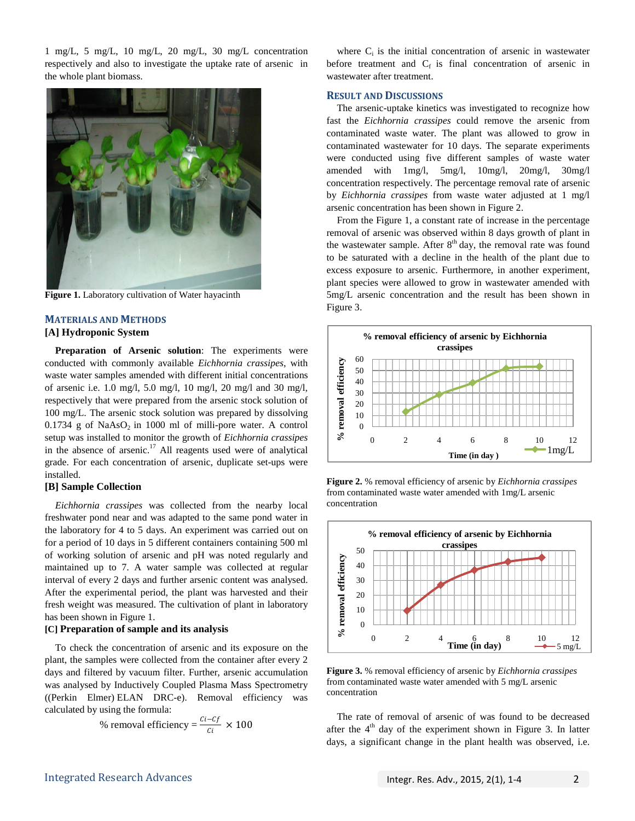1 mg/L, 5 mg/L, 10 mg/L, 20 mg/L, 30 mg/L concentration respectively and also to investigate the uptake rate of arsenic in the whole plant biomass.



**Figure 1.** Laboratory cultivation of Water hayacinth

## **MATERIALS AND METHODS**

#### **[A] Hydroponic System**

**Preparation of Arsenic solution**: The experiments were conducted with commonly available *Eichhornia crassipes*, with waste water samples amended with different initial concentrations of arsenic i.e. 1.0 mg/l, 5.0 mg/l, 10 mg/l, 20 mg/l and 30 mg/l, respectively that were prepared from the arsenic stock solution of 100 mg/L. The arsenic stock solution was prepared by dissolving  $0.1734$  g of NaAsO<sub>2</sub> in 1000 ml of milli-pore water. A control setup was installed to monitor the growth of *Eichhornia crassipes* in the absence of arsenic.<sup>17</sup> All reagents used were of analytical grade. For each concentration of arsenic, duplicate set-ups were installed.

#### **[B] Sample Collection**

*Eichhornia crassipes* was collected from the nearby local freshwater pond near and was adapted to the same pond water in the laboratory for 4 to 5 days. An experiment was carried out on for a period of 10 days in 5 different containers containing 500 ml of working solution of arsenic and pH was noted regularly and maintained up to 7. A water sample was collected at regular interval of every 2 days and further arsenic content was analysed. After the experimental period, the plant was harvested and their fresh weight was measured. The cultivation of plant in laboratory has been shown in Figure 1.

#### **[C] Preparation of sample and its analysis**

To check the concentration of arsenic and its exposure on the plant, the samples were collected from the container after every 2 days and filtered by vacuum filter. Further, arsenic accumulation was analysed by Inductively Coupled Plasma Mass Spectrometry ((Perkin Elmer) ELAN DRC-e). Removal efficiency was calculated by using the formula:

% removal efficiency = 
$$
\frac{Ci - Cf}{Ci} \times 100
$$

where  $C_i$  is the initial concentration of arsenic in wastewater before treatment and  $C_f$  is final concentration of arsenic in wastewater after treatment.

#### **RESULT AND DISCUSSIONS**

The arsenic-uptake kinetics was investigated to recognize how fast the *Eichhornia crassipes* could remove the arsenic from contaminated waste water. The plant was allowed to grow in contaminated wastewater for 10 days. The separate experiments were conducted using five different samples of waste water amended with 1mg/l, 5mg/l, 10mg/l, 20mg/l, 30mg/l concentration respectively. The percentage removal rate of arsenic by *Eichhornia crassipes* from waste water adjusted at 1 mg/l arsenic concentration has been shown in Figure 2.

From the Figure 1, a constant rate of increase in the percentage removal of arsenic was observed within 8 days growth of plant in the wastewater sample. After  $8<sup>th</sup>$  day, the removal rate was found to be saturated with a decline in the health of the plant due to excess exposure to arsenic. Furthermore, in another experiment, plant species were allowed to grow in wastewater amended with 5mg/L arsenic concentration and the result has been shown in Figure 3.



**Figure 2.** % removal efficiency of arsenic by *Eichhornia crassipes* from contaminated waste water amended with 1mg/L arsenic concentration



**Figure 3.** % removal efficiency of arsenic by *Eichhornia crassipes* from contaminated waste water amended with 5 mg/L arsenic concentration

The rate of removal of arsenic of was found to be decreased after the  $4<sup>th</sup>$  day of the experiment shown in Figure 3. In latter days, a significant change in the plant health was observed, i.e.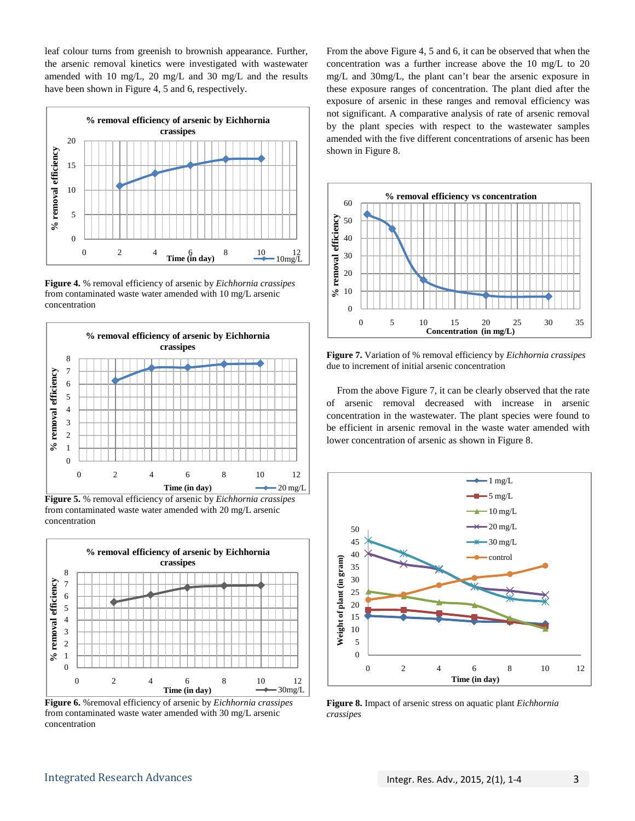leaf colour turns from greenish to brownish appearance. Further, the arsenic removal kinetics were investigated with wastewater amended with 10 mg/L, 20 mg/L and 30 mg/L and the results have been shown in Figure 4, 5 and 6, respectively.



**Figure 4.** % removal efficiency of arsenic by *Eichhornia crassipes* from contaminated waste water amended with 10 mg/L arsenic concentration



**Figure 5.** % removal efficiency of arsenic by *Eichhornia crassipes* from contaminated waste water amended with 20 mg/L arsenic concentration



**Figure 6.** %removal efficiency of arsenic by *Eichhornia crassipes* from contaminated waste water amended with 30 mg/L arsenic concentration

From the above Figure 4, 5 and 6, it can be observed that when the concentration was a further increase above the 10 mg/L to 20 mg/L and 30mg/L, the plant can't bear the arsenic exposure in these exposure ranges of concentration. The plant died after the exposure of arsenic in these ranges and removal efficiency was not significant. A comparative analysis of rate of arsenic removal by the plant species with respect to the wastewater samples amended with the five different concentrations of arsenic has been shown in Figure 8.



**Figure 7.** Variation of % removal efficiency by *Eichhornia crassipes* due to increment of initial arsenic concentration

From the above Figure 7, it can be clearly observed that the rate of arsenic removal decreased with increase in arsenic concentration in the wastewater. The plant species were found to be efficient in arsenic removal in the waste water amended with lower concentration of arsenic as shown in Figure 8.



**Figure 8.** Impact of arsenic stress on aquatic plant *Eichhornia crassipes*